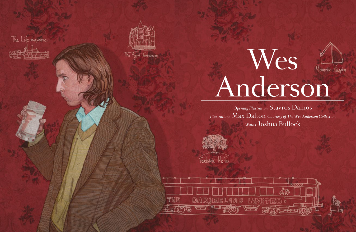



The Rayal Tonenbourns



*Opening Illustration* Stavros Damos *Illustrations* Max Dalton *Courtesy of The Wes Anderson Collection Words* Joshua Bullock



Fantastic Mr. Fox

and the second control of the second second community and the second control of the second control of the second control of the second control of the second control of the second control of the second control of the second

THE

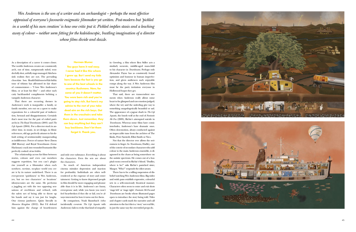As a description of a career it comes closer. The worlds Anderson creates are consistently arch, out of time, sumptuously styled, won derfully shot, artfully stage-managed. Kitchensink realism they are not. The pervading chocolate box Roald-Dahl-meets-Hal-Ashby tone of whimsy has affronted its fair share of commentators – "I love Wes Anderson's films, or at least his film" – and other such catty backhanded compliments befitting a vampish Anderson character.

That there are recurring themes in Anderson's work is inarguable: a family, or family member, sets out on a quest to make reparations for a colourful past of indiscre tion, betrayal and disappointment. Certainly that's most true for the pair of exiled patriarchs in *The Royal Tenenbaums* (2001) and *The Life Aquatic* (2004)*.* For a director stuck in an other time, in music, in set design, in filmic references, old age perfectly attunes to his de fault setting of sentimentality masquerading as indifference. Forces of nature Steve Zissou (Bill Murray) and Royal Tenenbaum (Gene Hackman) crack into wounded humanity like perfectly cooked *cr*è*me brûlées*.

Wes Anderson is the son of a writer and an archaeologist – perhaps the most effective *appraisal of everyone's favourite enigmatic filmmaker yet written. Post-modern but 'pickled in a world of his own creation' is how one critic put it. Pickled implies stasis and a leaching away of colour – neither seem fitting for the kaleidoscopic, bustling imagination of a director whose films divide and dazzle.*

The relationship across his films between stories, colours and even cast members suggests repetition, but you can't plagiarise yourself as a filmmaker when each nowhere, no-time, no-place world you cre ate is by its nature undefined. There is an ever-present 'quirkiness' to Wes Anderson, yes, but no two characters' or locations' idiosyncrasies are the same. He performs a juggling act with the two opposing sen sations of overblown and refined, with the safety net of being able to throw up his hands and say it was just for laughs. One riotous jamboree. Quite literally in *Moonrise Kingdom* (2012). But I'd defend him against the charge of heartlessness

and style over substance. Everything is about the characters. Even the sets are about the characters.

So much of American independent cinema mistakes depression and inaction for profundity. Individuals are often wellrendered at the expense of story and entertainment. Getting to know depressed people in film should be more engaging and pleasurable than it is in life. Anderson's are funny, error-prone and, while you know you won't feel heartbroken if they die or fail, you're always interested in how it turns out for them.

By comparison, Noah Baumbach (who incidentally co-wrote *The Life Aquatic* with Anderson) fails to evoke that kind of empathy in *Greenberg,* a film where Ben Stiller acts a similarly neurotic, middle-aged man-child to his character in *Tenenbaums*. Perhaps only Alexander Payne has as consistently found optimism and humour in human imperfection, and given audiences such enjoyable romps along the way. A Wes Anderson film must be the party invitation everyone in Hollywood hopes they get.

That said, there are transcendent mo ments when Anderson really allows some heart to be glimpsed and raw emotion judged; where the wry and the unfeeling give way to something unapologetically beautiful or sad. The appearance of a jaguar shark in *The Life Aquatic*, the lonely wolf at the end of *Fantastic Mr Fox* (2009), Richie's attempted suicide in *Tenenbaums*. Whereas some films have comic interludes, Anderson's have dramatic ones. Often slow-motion, always conducted against an impeccable tune from the archives of The Kinks, Peter Sarstedt, Elliot Smith or Nico.

Not that the director ever allows the seriousness to linger. In *Tenenbaums*, Dudley*,* one of the coterie of secondary characters who add colour to the main Anderson ensemble, is diagnosed in the chaos as being somewhere on the autistic spectrum. He comes out of a hospital room covered in Richie's blood. "Dudley, where is he?" asks Richie's panicked sister, Margot. "Who?" responds the idiot savant.

There has to be a willing suspension of disbelief watching Wes Anderson films. Big wides and swish pans establish expressive, colourful sets in a self-consciously theatrical manner. Characters often seem to enter and exit shots 'stage left' or 'stage right'. *Fantastic Mr Fox* and *Tenenbaums* are books whose illustrated pages open to introduce the story being told. Titles and chapter cards mark the narrative and call attention to the fact this is a 'story' not real life, in just the same way the over-styled props do.





**Herman Blume:** 

**You guys have it real easy. I never had it like this where I grew up. But I send my kids here because the fact is you go to one of the best schools in the country: Rushmore. Now, for some of you it doesn't matter. You were born rich and you're going to stay rich. But here's my advice to the rest of you: take dead aim on the rich boys. Get them in the crosshairs and take them down. Just remember, they can buy anything but they can't buy backbone. Don't let them forget it. Thank you.**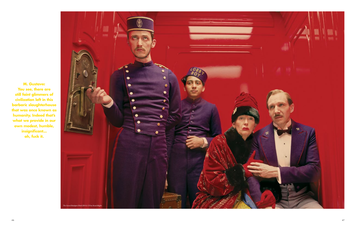**M. Gustave: You see, there are still faint glimmers of civilization left in this barbaric slaughterhouse that was once known as humanity. Indeed that's what we provide in our own modest, humble, insignificant... oh, fuck it.**